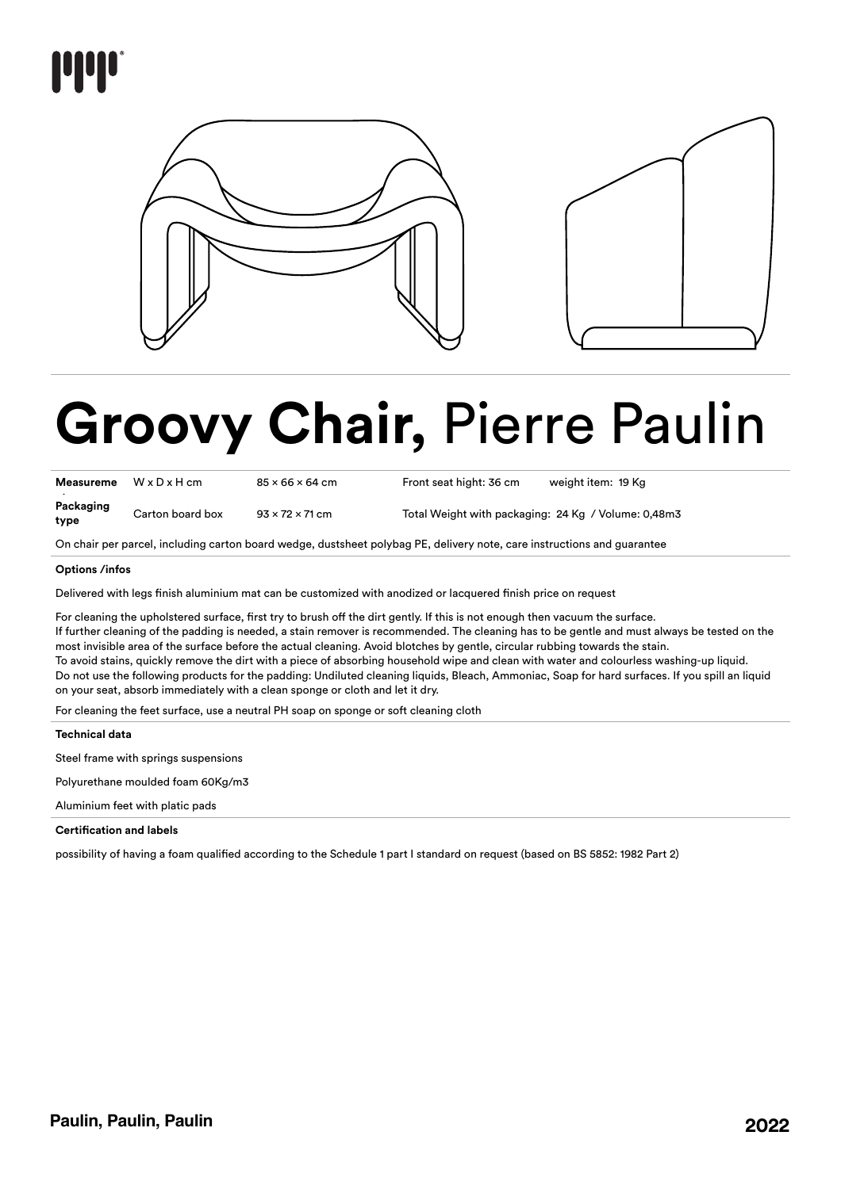

# **Groovy Chair,** Pierre Paulin

| <b>Measureme</b>  | $W \times D \times H$ cm | $85 \times 66 \times 64$ cm | Front seat hight: 36 cm                             | weight item: 19 Kg |
|-------------------|--------------------------|-----------------------------|-----------------------------------------------------|--------------------|
| Packaging<br>type | Carton board box         | $93 \times 72 \times 71$ cm | Total Weight with packaging: 24 Kg / Volume: 0,48m3 |                    |

On chair per parcel, including carton board wedge, dustsheet polybag PE, delivery note, care instructions and guarantee

# **Options /infos**

Delivered with legs finish aluminium mat can be customized with anodized or lacquered finish price on request

For cleaning the upholstered surface, first try to brush off the dirt gently. If this is not enough then vacuum the surface. If further cleaning of the padding is needed, a stain remover is recommended. The cleaning has to be gentle and must always be tested on the most invisible area of the surface before the actual cleaning. Avoid blotches by gentle, circular rubbing towards the stain. To avoid stains, quickly remove the dirt with a piece of absorbing household wipe and clean with water and colourless washing-up liquid. Do not use the following products for the padding: Undiluted cleaning liquids, Bleach, Ammoniac, Soap for hard surfaces. If you spill an liquid on your seat, absorb immediately with a clean sponge or cloth and let it dry.

For cleaning the feet surface, use a neutral PH soap on sponge or soft cleaning cloth

**Technical data**

Steel frame with springs suspensions

Polyurethane moulded foam 60Kg/m3

Aluminium feet with platic pads

# **Certification and labels**

possibility of having a foam qualified according to the Schedule 1 part I standard on request (based on BS 5852: 1982 Part 2)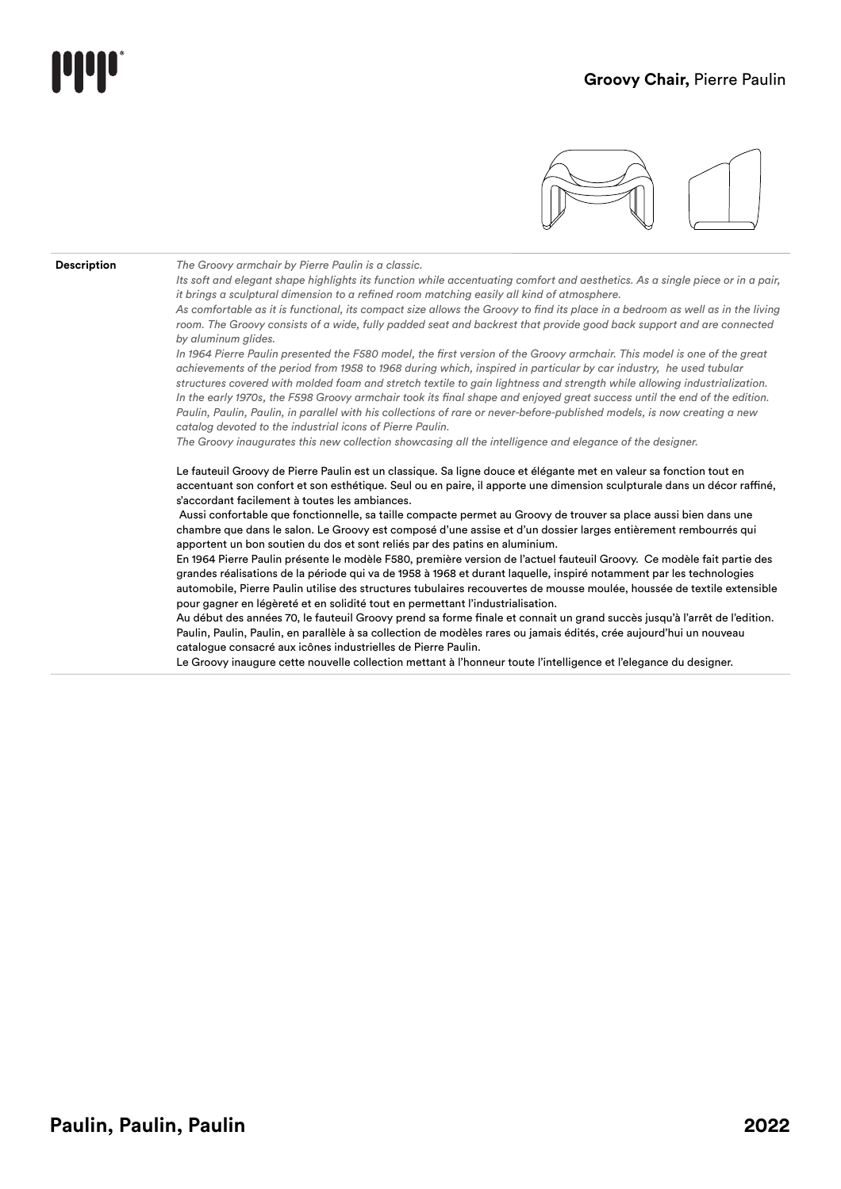

**Description** *The Groovy armchair by Pierre Paulin is a classic.*

*Its soft and elegant shape highlights its function while accentuating comfort and aesthetics. As a single piece or in a pair, it brings a sculptural dimension to a refined room matching easily all kind of atmosphere.*

As comfortable as it is functional, its compact size allows the Groovy to find its place in a bedroom as well as in the living *room. The Groovy consists of a wide, fully padded seat and backrest that provide good back support and are connected by aluminum glides.*

In 1964 Pierre Paulin presented the F580 model, the first version of the Groovy armchair. This model is one of the great *achievements of the period from 1958 to 1968 during which, inspired in particular by car industry, he used tubular structures covered with molded foam and stretch textile to gain lightness and strength while allowing industrialization. In the early 1970s, the F598 Groovy armchair took its final shape and enjoyed great success until the end of the edition. Paulin, Paulin, Paulin, in parallel with his collections of rare or never-before-published models, is now creating a new catalog devoted to the industrial icons of Pierre Paulin.*

*The Groovy inaugurates this new collection showcasing all the intelligence and elegance of the designer.* 

Le fauteuil Groovy de Pierre Paulin est un classique. Sa ligne douce et élégante met en valeur sa fonction tout en accentuant son confort et son esthétique. Seul ou en paire, il apporte une dimension sculpturale dans un décor raffiné, s'accordant facilement à toutes les ambiances.

 Aussi confortable que fonctionnelle, sa taille compacte permet au Groovy de trouver sa place aussi bien dans une chambre que dans le salon. Le Groovy est composé d'une assise et d'un dossier larges entièrement rembourrés qui apportent un bon soutien du dos et sont reliés par des patins en aluminium.

En 1964 Pierre Paulin présente le modèle F580, première version de l'actuel fauteuil Groovy. Ce modèle fait partie des grandes réalisations de la période qui va de 1958 à 1968 et durant laquelle, inspiré notamment par les technologies automobile, Pierre Paulin utilise des structures tubulaires recouvertes de mousse moulée, houssée de textile extensible pour gagner en légèreté et en solidité tout en permettant l'industrialisation.

Au début des années 70, le fauteuil Groovy prend sa forme finale et connait un grand succès jusqu'à l'arrêt de l'edition. Paulin, Paulin, Paulin, en parallèle à sa collection de modèles rares ou jamais édités, crée aujourd'hui un nouveau catalogue consacré aux icônes industrielles de Pierre Paulin.

Le Groovy inaugure cette nouvelle collection mettant à l'honneur toute l'intelligence et l'elegance du designer.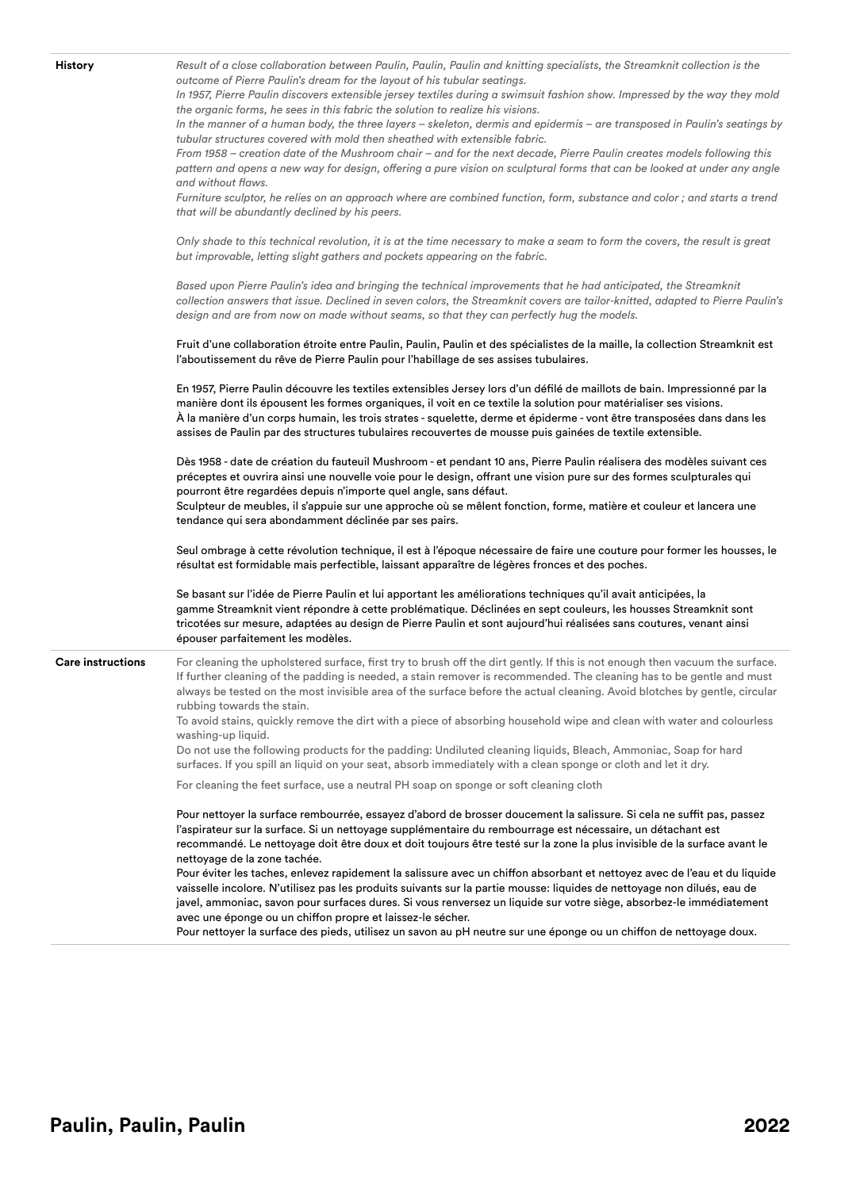**History** *Result of a close collaboration between Paulin, Paulin, Paulin and knitting specialists, the Streamknit collection is the outcome of Pierre Paulin's dream for the layout of his tubular seatings. In 1957, Pierre Paulin discovers extensible jersey textiles during a swimsuit fashion show. Impressed by the way they mold the organic forms, he sees in this fabric the solution to realize his visions. In the manner of a human body, the three layers – skeleton, dermis and epidermis – are transposed in Paulin's seatings by tubular structures covered with mold then sheathed with extensible fabric. From 1958 – creation date of the Mushroom chair – and for the next decade, Pierre Paulin creates models following this pattern and opens a new way for design, offering a pure vision on sculptural forms that can be looked at under any angle and without flaws. Furniture sculptor, he relies on an approach where are combined function, form, substance and color ; and starts a trend that will be abundantly declined by his peers. Only shade to this technical revolution, it is at the time necessary to make a seam to form the covers, the result is great but improvable, letting slight gathers and pockets appearing on the fabric.* Based upon Pierre Paulin's idea and bringing the technical improvements that he had anticipated, the Streamknit *collection answers that issue. Declined in seven colors, the Streamknit covers are tailor-knitted, adapted to Pierre Paulin's design and are from now on made without seams, so that they can perfectly hug the models.* Fruit d'une collaboration étroite entre Paulin, Paulin, Paulin et des spécialistes de la maille, la collection Streamknit est l'aboutissement du rêve de Pierre Paulin pour l'habillage de ses assises tubulaires. En 1957, Pierre Paulin découvre les textiles extensibles Jersey lors d'un défilé de maillots de bain. Impressionné par la manière dont ils épousent les formes organiques, il voit en ce textile la solution pour matérialiser ses visions. À la manière d'un corps humain, les trois strates - squelette, derme et épiderme - vont être transposées dans dans les assises de Paulin par des structures tubulaires recouvertes de mousse puis gainées de textile extensible. Dès 1958 - date de création du fauteuil Mushroom - et pendant 10 ans, Pierre Paulin réalisera des modèles suivant ces préceptes et ouvrira ainsi une nouvelle voie pour le design, offrant une vision pure sur des formes sculpturales qui pourront être regardées depuis n'importe quel angle, sans défaut. Sculpteur de meubles, il s'appuie sur une approche où se mêlent fonction, forme, matière et couleur et lancera une tendance qui sera abondamment déclinée par ses pairs. Seul ombrage à cette révolution technique, il est à l'époque nécessaire de faire une couture pour former les housses, le résultat est formidable mais perfectible, laissant apparaître de légères fronces et des poches. Se basant sur l'idée de Pierre Paulin et lui apportant les améliorations techniques qu'il avait anticipées, la gamme Streamknit vient répondre à cette problématique. Déclinées en sept couleurs, les housses Streamknit sont tricotées sur mesure, adaptées au design de Pierre Paulin et sont aujourd'hui réalisées sans coutures, venant ainsi épouser parfaitement les modèles. **Care instructions** For cleaning the upholstered surface, first try to brush off the dirt gently. If this is not enough then vacuum the surface. If further cleaning of the padding is needed, a stain remover is recommended. The cleaning has to be gentle and must always be tested on the most invisible area of the surface before the actual cleaning. Avoid blotches by gentle, circular rubbing towards the stain. To avoid stains, quickly remove the dirt with a piece of absorbing household wipe and clean with water and colourless washing-up liquid. Do not use the following products for the padding: Undiluted cleaning liquids, Bleach, Ammoniac, Soap for hard surfaces. If you spill an liquid on your seat, absorb immediately with a clean sponge or cloth and let it dry. For cleaning the feet surface, use a neutral PH soap on sponge or soft cleaning cloth Pour nettoyer la surface rembourrée, essayez d'abord de brosser doucement la salissure. Si cela ne suffit pas, passez l'aspirateur sur la surface. Si un nettoyage supplémentaire du rembourrage est nécessaire, un détachant est recommandé. Le nettoyage doit être doux et doit toujours être testé sur la zone la plus invisible de la surface avant le nettoyage de la zone tachée. Pour éviter les taches, enlevez rapidement la salissure avec un chiffon absorbant et nettoyez avec de l'eau et du liquide vaisselle incolore. N'utilisez pas les produits suivants sur la partie mousse: liquides de nettoyage non dilués, eau de javel, ammoniac, savon pour surfaces dures. Si vous renversez un liquide sur votre siège, absorbez-le immédiatement avec une éponge ou un chiffon propre et laissez-le sécher.

Pour nettoyer la surface des pieds, utilisez un savon au pH neutre sur une éponge ou un chiffon de nettoyage doux.